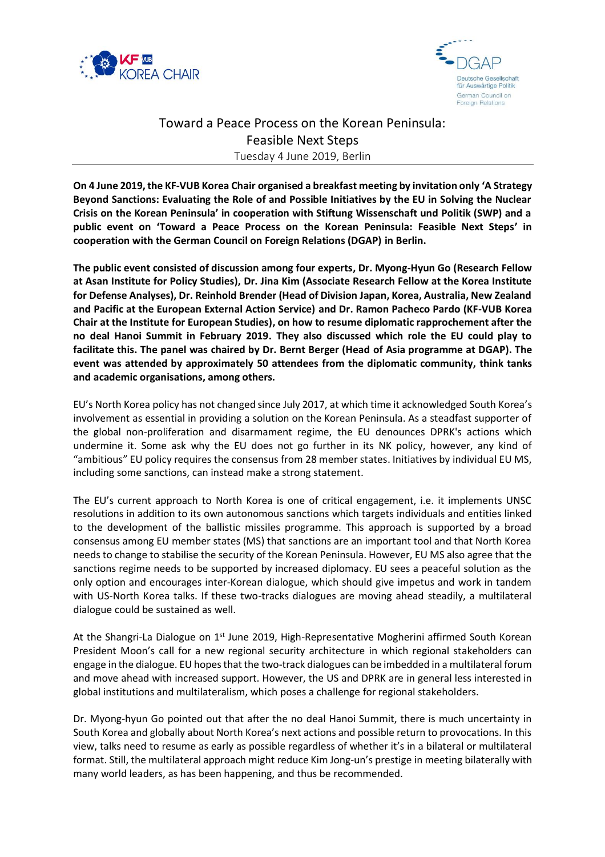



## Toward a Peace Process on the Korean Peninsula: Feasible Next Steps Tuesday 4 June 2019, Berlin

**On 4 June 2019, the KF-VUB Korea Chair organised a breakfast meeting by invitation only 'A Strategy Beyond Sanctions: Evaluating the Role of and Possible Initiatives by the EU in Solving the Nuclear Crisis on the Korean Peninsula' in cooperation with Stiftung Wissenschaft und Politik (SWP) and a public event on 'Toward a Peace Process on the Korean Peninsula: Feasible Next Steps' in cooperation with the German Council on Foreign Relations (DGAP) in Berlin.**

**The public event consisted of discussion among four experts, Dr. Myong-Hyun Go (Research Fellow at Asan Institute for Policy Studies), Dr. Jina Kim (Associate Research Fellow at the Korea Institute for Defense Analyses), Dr. Reinhold Brender (Head of Division Japan, Korea, Australia, New Zealand and Pacific at the European External Action Service) and Dr. Ramon Pacheco Pardo (KF-VUB Korea Chair at the Institute for European Studies), on how to resume diplomatic rapprochement after the no deal Hanoi Summit in February 2019. They also discussed which role the EU could play to facilitate this. The panel was chaired by Dr. Bernt Berger (Head of Asia programme at DGAP). The event was attended by approximately 50 attendees from the diplomatic community, think tanks and academic organisations, among others.**

EU's North Korea policy has not changed since July 2017, at which time it acknowledged South Korea's involvement as essential in providing a solution on the Korean Peninsula. As a steadfast supporter of the global non-proliferation and disarmament regime, the EU denounces DPRK's actions which undermine it. Some ask why the EU does not go further in its NK policy, however, any kind of "ambitious" EU policy requires the consensus from 28 member states. Initiatives by individual EU MS, including some sanctions, can instead make a strong statement.

The EU's current approach to North Korea is one of critical engagement, i.e. it implements UNSC resolutions in addition to its own autonomous sanctions which targets individuals and entities linked to the development of the ballistic missiles programme. This approach is supported by a broad consensus among EU member states (MS) that sanctions are an important tool and that North Korea needs to change to stabilise the security of the Korean Peninsula. However, EU MS also agree that the sanctions regime needs to be supported by increased diplomacy. EU sees a peaceful solution as the only option and encourages inter-Korean dialogue, which should give impetus and work in tandem with US-North Korea talks. If these two-tracks dialogues are moving ahead steadily, a multilateral dialogue could be sustained as well.

At the Shangri-La Dialogue on 1<sup>st</sup> June 2019, High-Representative Mogherini affirmed South Korean President Moon's call for a new regional security architecture in which regional stakeholders can engage in the dialogue. EU hopes that the two-track dialogues can be imbedded in a multilateral forum and move ahead with increased support. However, the US and DPRK are in general less interested in global institutions and multilateralism, which poses a challenge for regional stakeholders.

Dr. Myong-hyun Go pointed out that after the no deal Hanoi Summit, there is much uncertainty in South Korea and globally about North Korea's next actions and possible return to provocations. In this view, talks need to resume as early as possible regardless of whether it's in a bilateral or multilateral format. Still, the multilateral approach might reduce Kim Jong-un's prestige in meeting bilaterally with many world leaders, as has been happening, and thus be recommended.